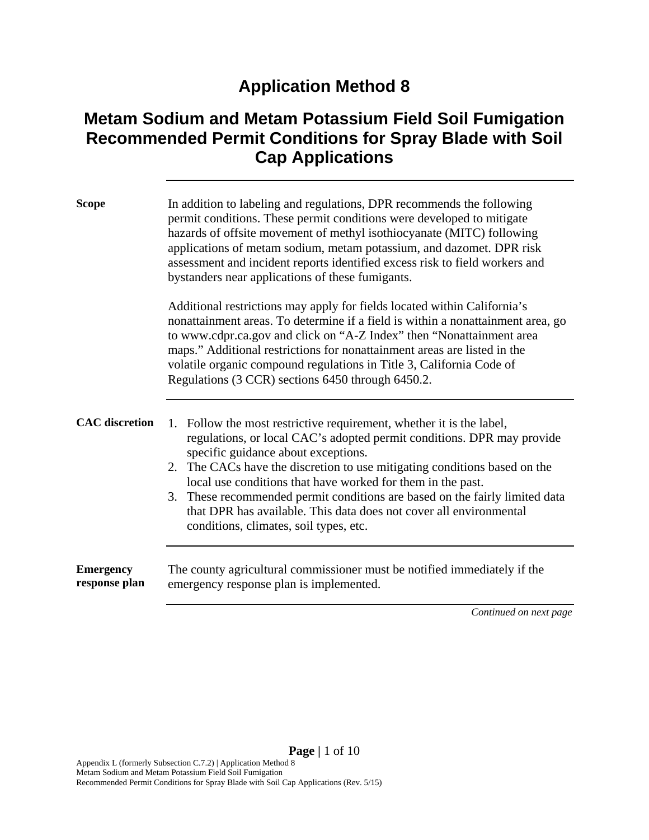## **Application Method 8**

## **Metam Sodium and Metam Potassium Field Soil Fumigation Recommended Permit Conditions for Spray Blade with Soil Cap Applications**

| <b>Scope</b>                      | In addition to labeling and regulations, DPR recommends the following<br>permit conditions. These permit conditions were developed to mitigate<br>hazards of offsite movement of methyl isothiocyanate (MITC) following<br>applications of metam sodium, metam potassium, and dazomet. DPR risk<br>assessment and incident reports identified excess risk to field workers and<br>bystanders near applications of these fumigants.                                                                                               |
|-----------------------------------|----------------------------------------------------------------------------------------------------------------------------------------------------------------------------------------------------------------------------------------------------------------------------------------------------------------------------------------------------------------------------------------------------------------------------------------------------------------------------------------------------------------------------------|
|                                   | Additional restrictions may apply for fields located within California's<br>nonattainment areas. To determine if a field is within a nonattainment area, go<br>to www.cdpr.ca.gov and click on "A-Z Index" then "Nonattainment area<br>maps." Additional restrictions for nonattainment areas are listed in the<br>volatile organic compound regulations in Title 3, California Code of<br>Regulations (3 CCR) sections 6450 through 6450.2.                                                                                     |
| <b>CAC</b> discretion             | 1. Follow the most restrictive requirement, whether it is the label,<br>regulations, or local CAC's adopted permit conditions. DPR may provide<br>specific guidance about exceptions.<br>2. The CACs have the discretion to use mitigating conditions based on the<br>local use conditions that have worked for them in the past.<br>3. These recommended permit conditions are based on the fairly limited data<br>that DPR has available. This data does not cover all environmental<br>conditions, climates, soil types, etc. |
| <b>Emergency</b><br>response plan | The county agricultural commissioner must be notified immediately if the<br>emergency response plan is implemented.<br>Continued on next page                                                                                                                                                                                                                                                                                                                                                                                    |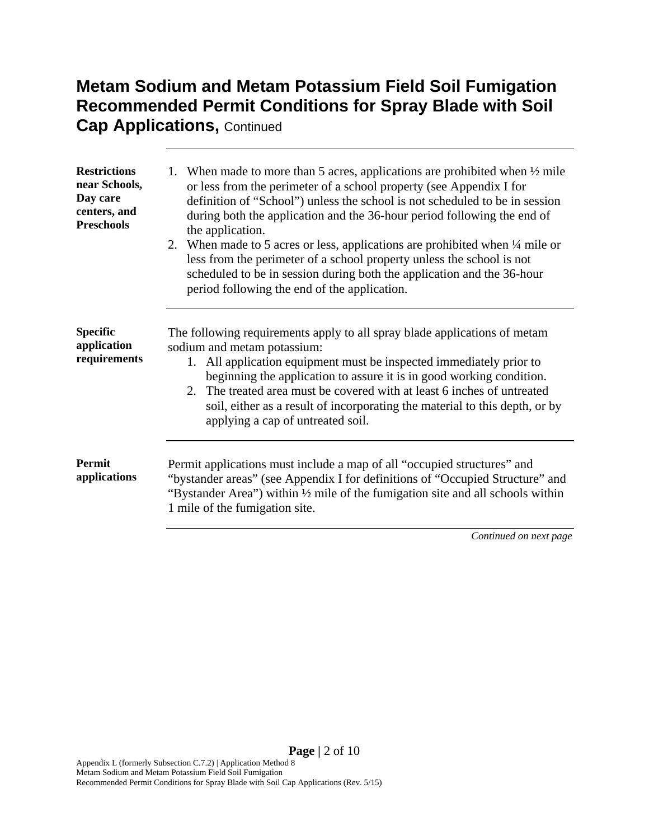# **Metam Sodium and Metam Potassium Field Soil Fumigation Recommended Permit Conditions for Spray Blade with Soil**

**Cap Applications, Continued** 

| <b>Restrictions</b><br>near Schools,<br>Day care<br>centers, and<br><b>Preschools</b> | 1. When made to more than 5 acres, applications are prohibited when $\frac{1}{2}$ mile<br>or less from the perimeter of a school property (see Appendix I for<br>definition of "School") unless the school is not scheduled to be in session<br>during both the application and the 36-hour period following the end of<br>the application.<br>2. When made to 5 acres or less, applications are prohibited when 1/4 mile or<br>less from the perimeter of a school property unless the school is not<br>scheduled to be in session during both the application and the 36-hour<br>period following the end of the application. |
|---------------------------------------------------------------------------------------|---------------------------------------------------------------------------------------------------------------------------------------------------------------------------------------------------------------------------------------------------------------------------------------------------------------------------------------------------------------------------------------------------------------------------------------------------------------------------------------------------------------------------------------------------------------------------------------------------------------------------------|
| <b>Specific</b><br>application<br>requirements                                        | The following requirements apply to all spray blade applications of metam<br>sodium and metam potassium:<br>All application equipment must be inspected immediately prior to<br>1.<br>beginning the application to assure it is in good working condition.<br>2. The treated area must be covered with at least 6 inches of untreated<br>soil, either as a result of incorporating the material to this depth, or by<br>applying a cap of untreated soil.                                                                                                                                                                       |
| <b>Permit</b><br>applications                                                         | Permit applications must include a map of all "occupied structures" and<br>"bystander areas" (see Appendix I for definitions of "Occupied Structure" and<br>"Bystander Area") within 1/2 mile of the fumigation site and all schools within<br>1 mile of the fumigation site.                                                                                                                                                                                                                                                                                                                                                   |

*Continued on next page*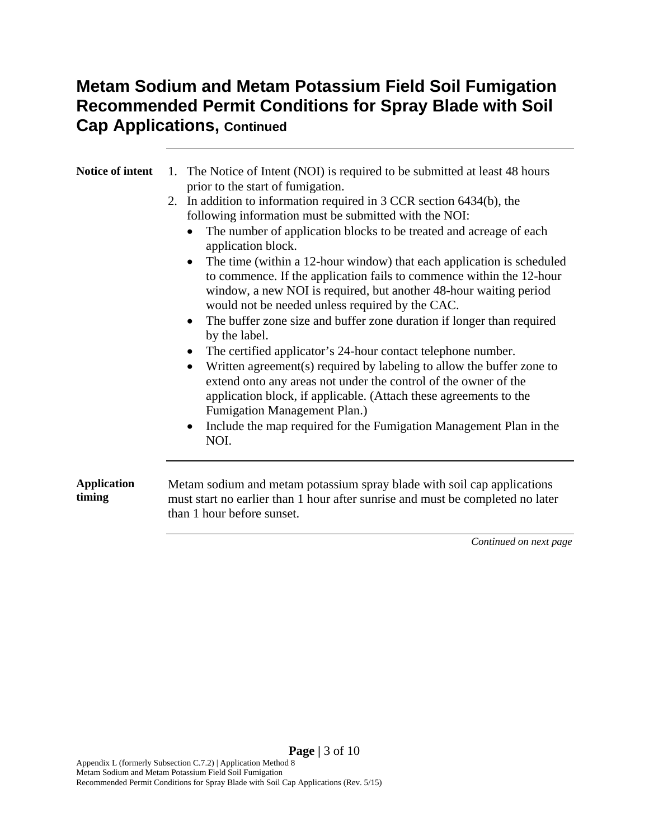### **Metam Sodium and Metam Potassium Field Soil Fumigation Recommended Permit Conditions for Spray Blade with Soil Cap Applications, Continued**

| Notice of intent             | The Notice of Intent (NOI) is required to be submitted at least 48 hours<br>1.                                                                                                                                                                                                     |  |
|------------------------------|------------------------------------------------------------------------------------------------------------------------------------------------------------------------------------------------------------------------------------------------------------------------------------|--|
|                              | prior to the start of fumigation.                                                                                                                                                                                                                                                  |  |
|                              | 2. In addition to information required in 3 CCR section 6434(b), the<br>following information must be submitted with the NOI:                                                                                                                                                      |  |
|                              | The number of application blocks to be treated and acreage of each<br>application block.                                                                                                                                                                                           |  |
|                              | The time (within a 12-hour window) that each application is scheduled<br>$\bullet$<br>to commence. If the application fails to commence within the 12-hour<br>window, a new NOI is required, but another 48-hour waiting period<br>would not be needed unless required by the CAC. |  |
|                              | The buffer zone size and buffer zone duration if longer than required<br>$\bullet$<br>by the label.                                                                                                                                                                                |  |
|                              | The certified applicator's 24-hour contact telephone number.                                                                                                                                                                                                                       |  |
|                              | Written agreement(s) required by labeling to allow the buffer zone to<br>extend onto any areas not under the control of the owner of the                                                                                                                                           |  |
|                              | application block, if applicable. (Attach these agreements to the<br>Fumigation Management Plan.)                                                                                                                                                                                  |  |
|                              | Include the map required for the Fumigation Management Plan in the<br>NOI.                                                                                                                                                                                                         |  |
|                              |                                                                                                                                                                                                                                                                                    |  |
| <b>Application</b><br>timing | Metam sodium and metam potassium spray blade with soil cap applications<br>must start no earlier than 1 hour after sunrise and must be completed no later<br>than 1 hour before sunset.                                                                                            |  |
|                              |                                                                                                                                                                                                                                                                                    |  |

*Continued on next page*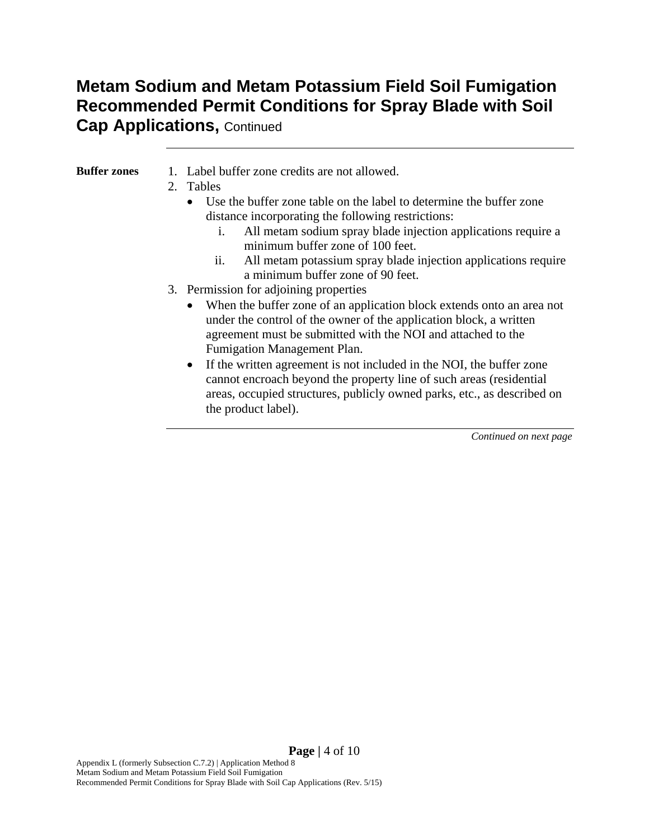# **Metam Sodium and Metam Potassium Field Soil Fumigation Recommended Permit Conditions for Spray Blade with Soil**

#### **Cap Applications,** Continued

| Buffer zones | 1. Label buffer zone credits are not allowed. |
|--------------|-----------------------------------------------|
|              |                                               |

- 2. Tables
	- Use the buffer zone table on the label to determine the buffer zone distance incorporating the following restrictions:
		- i. All metam sodium spray blade injection applications require a minimum buffer zone of 100 feet.
		- ii. All metam potassium spray blade injection applications require a minimum buffer zone of 90 feet.
- 3. Permission for adjoining properties
	- When the buffer zone of an application block extends onto an area not under the control of the owner of the application block, a written agreement must be submitted with the NOI and attached to the Fumigation Management Plan.
	- If the written agreement is not included in the NOI, the buffer zone cannot encroach beyond the property line of such areas (residential areas, occupied structures, publicly owned parks, etc., as described on the product label).

*Continued on next page* 

**Page |** 4 of 10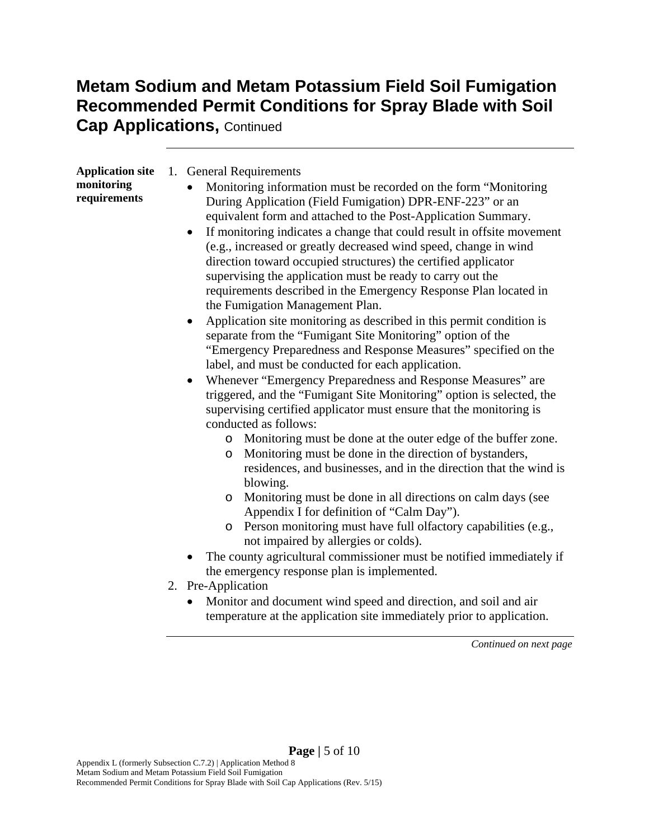### **Metam Sodium and Metam Potassium Field Soil Fumigation Recommended Permit Conditions for Spray Blade with Soil Cap Applications, Continued**

| <b>Application site</b><br>monitoring<br>requirements | 1. General Requirements<br>Monitoring information must be recorded on the form "Monitoring<br>During Application (Field Fumigation) DPR-ENF-223" or an<br>equivalent form and attached to the Post-Application Summary.<br>If monitoring indicates a change that could result in offsite movement<br>$\bullet$<br>(e.g., increased or greatly decreased wind speed, change in wind<br>direction toward occupied structures) the certified applicator<br>supervising the application must be ready to carry out the<br>requirements described in the Emergency Response Plan located in<br>the Fumigation Management Plan.<br>Application site monitoring as described in this permit condition is<br>separate from the "Fumigant Site Monitoring" option of the<br>"Emergency Preparedness and Response Measures" specified on the<br>label, and must be conducted for each application.<br>Whenever "Emergency Preparedness and Response Measures" are<br>triggered, and the "Fumigant Site Monitoring" option is selected, the<br>supervising certified applicator must ensure that the monitoring is<br>conducted as follows:<br>o Monitoring must be done at the outer edge of the buffer zone.<br>Monitoring must be done in the direction of bystanders,<br>$\circ$<br>residences, and businesses, and in the direction that the wind is<br>blowing.<br>Monitoring must be done in all directions on calm days (see<br>$\circ$<br>Appendix I for definition of "Calm Day").<br>Person monitoring must have full olfactory capabilities (e.g.,<br>$\circ$<br>not impaired by allergies or colds).<br>The county agricultural commissioner must be notified immediately if<br>the emergency response plan is implemented.<br>2. Pre-Application<br>Monitor and document wind speed and direction, and soil and air<br>temperature at the application site immediately prior to application. |
|-------------------------------------------------------|-------------------------------------------------------------------------------------------------------------------------------------------------------------------------------------------------------------------------------------------------------------------------------------------------------------------------------------------------------------------------------------------------------------------------------------------------------------------------------------------------------------------------------------------------------------------------------------------------------------------------------------------------------------------------------------------------------------------------------------------------------------------------------------------------------------------------------------------------------------------------------------------------------------------------------------------------------------------------------------------------------------------------------------------------------------------------------------------------------------------------------------------------------------------------------------------------------------------------------------------------------------------------------------------------------------------------------------------------------------------------------------------------------------------------------------------------------------------------------------------------------------------------------------------------------------------------------------------------------------------------------------------------------------------------------------------------------------------------------------------------------------------------------------------------------------------------------------------------------------------------------------------------|
|                                                       | Continued on next page                                                                                                                                                                                                                                                                                                                                                                                                                                                                                                                                                                                                                                                                                                                                                                                                                                                                                                                                                                                                                                                                                                                                                                                                                                                                                                                                                                                                                                                                                                                                                                                                                                                                                                                                                                                                                                                                          |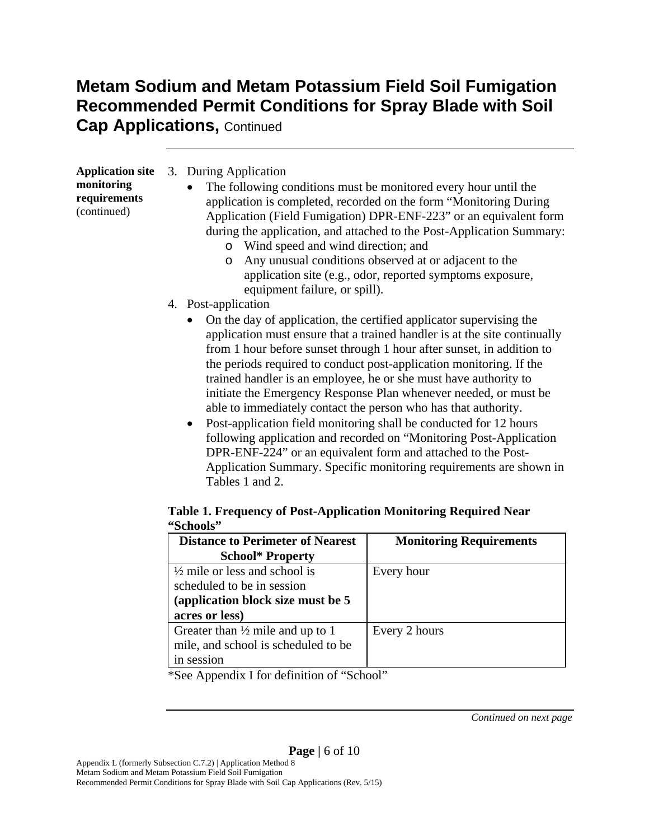### **Metam Sodium and Metam Potassium Field Soil Fumigation Recommended Permit Conditions for Spray Blade with Soil Cap Applications,** Continued

| <b>Application site</b><br>monitoring<br>requirements<br>(continued) | 3. During Application<br>The following conditions must be monitored every hour until the<br>application is completed, recorded on the form "Monitoring During<br>Application (Field Fumigation) DPR-ENF-223" or an equivalent form<br>during the application, and attached to the Post-Application Summary:<br>Wind speed and wind direction; and<br>$\circ$<br>Any unusual conditions observed at or adjacent to the<br>O<br>application site (e.g., odor, reported symptoms exposure,<br>equipment failure, or spill).                                                                                                                                                 |
|----------------------------------------------------------------------|--------------------------------------------------------------------------------------------------------------------------------------------------------------------------------------------------------------------------------------------------------------------------------------------------------------------------------------------------------------------------------------------------------------------------------------------------------------------------------------------------------------------------------------------------------------------------------------------------------------------------------------------------------------------------|
|                                                                      | 4. Post-application                                                                                                                                                                                                                                                                                                                                                                                                                                                                                                                                                                                                                                                      |
|                                                                      | On the day of application, the certified applicator supervising the<br>application must ensure that a trained handler is at the site continually<br>from 1 hour before sunset through 1 hour after sunset, in addition to<br>the periods required to conduct post-application monitoring. If the<br>trained handler is an employee, he or she must have authority to<br>initiate the Emergency Response Plan whenever needed, or must be<br>able to immediately contact the person who has that authority.<br>• Post-application field monitoring shall be conducted for 12 hours<br>following application and recorded on "Monitoring Post-Application"<br>$\mathbf{F}$ |

DPR-ENF-224" or an equivalent form and attached to the Post-Application Summary. Specific monitoring requirements are shown in Tables 1 and 2.

#### **Table 1. Frequency of Post-Application Monitoring Required Near "Schools"**

| <b>Distance to Perimeter of Nearest</b>     | <b>Monitoring Requirements</b> |
|---------------------------------------------|--------------------------------|
| <b>School* Property</b>                     |                                |
| $\frac{1}{2}$ mile or less and school is    | Every hour                     |
| scheduled to be in session                  |                                |
| (application block size must be 5)          |                                |
| acres or less)                              |                                |
| Greater than $\frac{1}{2}$ mile and up to 1 | Every 2 hours                  |
| mile, and school is scheduled to be         |                                |
| in session                                  |                                |

\*See Appendix I for definition of "School"

*Continued on next page*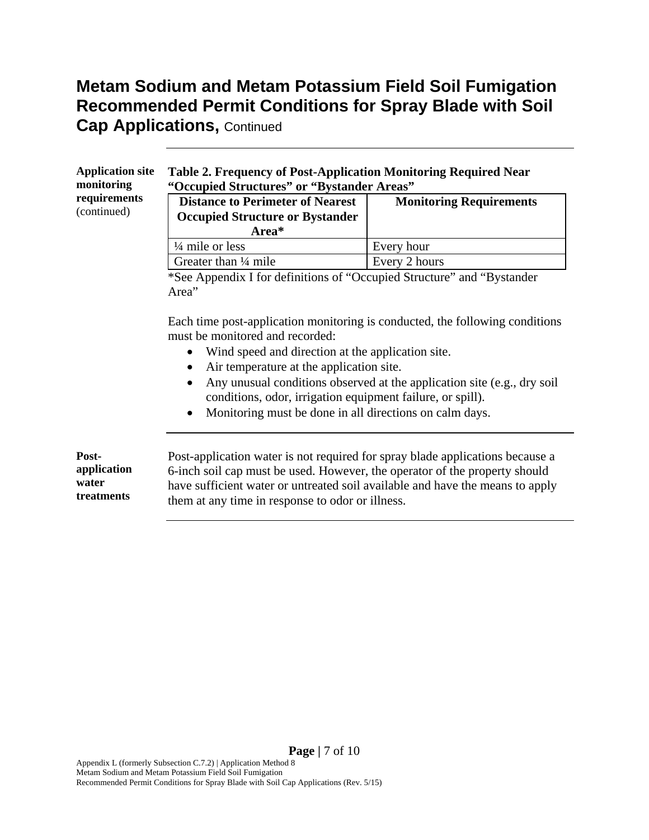# **Metam Sodium and Metam Potassium Field Soil Fumigation Recommended Permit Conditions for Spray Blade with Soil**

**Cap Applications, Continued** 

| <b>Application site</b><br>monitoring       | Table 2. Frequency of Post-Application Monitoring Required Near<br>"Occupied Structures" or "Bystander Areas"                                                                                                                                                                                                                                                                                                                                  |                                |  |  |
|---------------------------------------------|------------------------------------------------------------------------------------------------------------------------------------------------------------------------------------------------------------------------------------------------------------------------------------------------------------------------------------------------------------------------------------------------------------------------------------------------|--------------------------------|--|--|
| requirements<br>(continued)                 | <b>Distance to Perimeter of Nearest</b><br><b>Occupied Structure or Bystander</b>                                                                                                                                                                                                                                                                                                                                                              | <b>Monitoring Requirements</b> |  |  |
|                                             | Area*                                                                                                                                                                                                                                                                                                                                                                                                                                          |                                |  |  |
|                                             | $\frac{1}{4}$ mile or less                                                                                                                                                                                                                                                                                                                                                                                                                     | Every hour                     |  |  |
|                                             | Greater than 1/4 mile                                                                                                                                                                                                                                                                                                                                                                                                                          | Every 2 hours                  |  |  |
|                                             | *See Appendix I for definitions of "Occupied Structure" and "Bystander"<br>Area"                                                                                                                                                                                                                                                                                                                                                               |                                |  |  |
|                                             | Each time post-application monitoring is conducted, the following conditions<br>must be monitored and recorded:<br>Wind speed and direction at the application site.<br>Air temperature at the application site.<br>Any unusual conditions observed at the application site (e.g., dry soil<br>$\bullet$<br>conditions, odor, irrigation equipment failure, or spill).<br>Monitoring must be done in all directions on calm days.<br>$\bullet$ |                                |  |  |
| Post-<br>application<br>water<br>treatments | Post-application water is not required for spray blade applications because a<br>6-inch soil cap must be used. However, the operator of the property should<br>have sufficient water or untreated soil available and have the means to apply<br>them at any time in response to odor or illness.                                                                                                                                               |                                |  |  |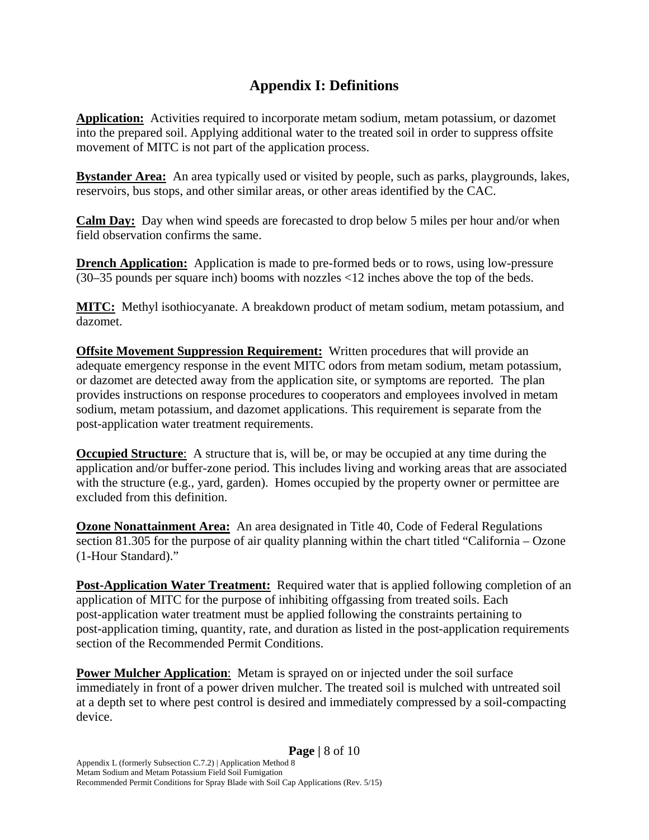#### **Appendix I: Definitions**

**Application:** Activities required to incorporate metam sodium, metam potassium, or dazomet into the prepared soil. Applying additional water to the treated soil in order to suppress offsite movement of MITC is not part of the application process.

**Bystander Area:** An area typically used or visited by people, such as parks, playgrounds, lakes, reservoirs, bus stops, and other similar areas, or other areas identified by the CAC.

**Calm Day:** Day when wind speeds are forecasted to drop below 5 miles per hour and/or when field observation confirms the same.

**Drench Application:** Application is made to pre-formed beds or to rows, using low-pressure (30–35 pounds per square inch) booms with nozzles <12 inches above the top of the beds.

**MITC:** Methyl isothiocyanate. A breakdown product of metam sodium, metam potassium, and dazomet.

**Offsite Movement Suppression Requirement:** Written procedures that will provide an adequate emergency response in the event MITC odors from metam sodium, metam potassium, or dazomet are detected away from the application site, or symptoms are reported. The plan provides instructions on response procedures to cooperators and employees involved in metam sodium, metam potassium, and dazomet applications. This requirement is separate from the post-application water treatment requirements.

**Occupied Structure**: A structure that is, will be, or may be occupied at any time during the application and/or buffer-zone period. This includes living and working areas that are associated with the structure (e.g., yard, garden). Homes occupied by the property owner or permittee are excluded from this definition.

**Ozone Nonattainment Area:** An area designated in Title 40, Code of Federal Regulations section 81.305 for the purpose of air quality planning within the chart titled "California – Ozone (1-Hour Standard)."

**Post-Application Water Treatment:** Required water that is applied following completion of an application of MITC for the purpose of inhibiting offgassing from treated soils. Each post-application water treatment must be applied following the constraints pertaining to post-application timing, quantity, rate, and duration as listed in the post-application requirements section of the Recommended Permit Conditions.

**Power Mulcher Application**: Metam is sprayed on or injected under the soil surface immediately in front of a power driven mulcher. The treated soil is mulched with untreated soil at a depth set to where pest control is desired and immediately compressed by a soil-compacting device.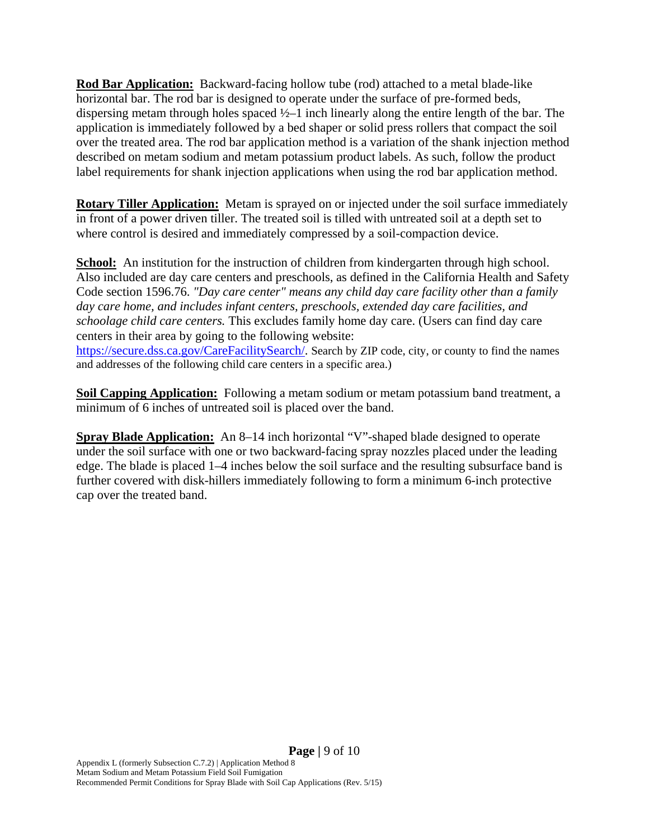**Rod Bar Application:** Backward-facing hollow tube (rod) attached to a metal blade-like horizontal bar. The rod bar is designed to operate under the surface of pre-formed beds, dispersing metam through holes spaced ½–1 inch linearly along the entire length of the bar. The application is immediately followed by a bed shaper or solid press rollers that compact the soil over the treated area. The rod bar application method is a variation of the shank injection method described on metam sodium and metam potassium product labels. As such, follow the product label requirements for shank injection applications when using the rod bar application method.

**Rotary Tiller Application:** Metam is sprayed on or injected under the soil surface immediately in front of a power driven tiller. The treated soil is tilled with untreated soil at a depth set to where control is desired and immediately compressed by a soil-compaction device.

**School:** An institution for the instruction of children from kindergarten through high school. Also included are day care centers and preschools, as defined in the California Health and Safety Code section 1596.76. *"Day care center" means any child day care facility other than a family day care home, and includes infant centers, preschools, extended day care facilities, and schoolage child care centers.* This excludes family home day care. (Users can find day care centers in their area by going to the following website: https://secure.dss.ca.gov/CareFacilitySearch/. Search by ZIP code, city, or county to find the names and addresses of the following child care centers in a specific area.)

**Soil Capping Application:** Following a metam sodium or metam potassium band treatment, a minimum of 6 inches of untreated soil is placed over the band.

**Spray Blade Application:** An 8–14 inch horizontal "V"-shaped blade designed to operate under the soil surface with one or two backward-facing spray nozzles placed under the leading edge. The blade is placed 1–4 inches below the soil surface and the resulting subsurface band is further covered with disk-hillers immediately following to form a minimum 6-inch protective cap over the treated band.

**Page |** 9 of 10